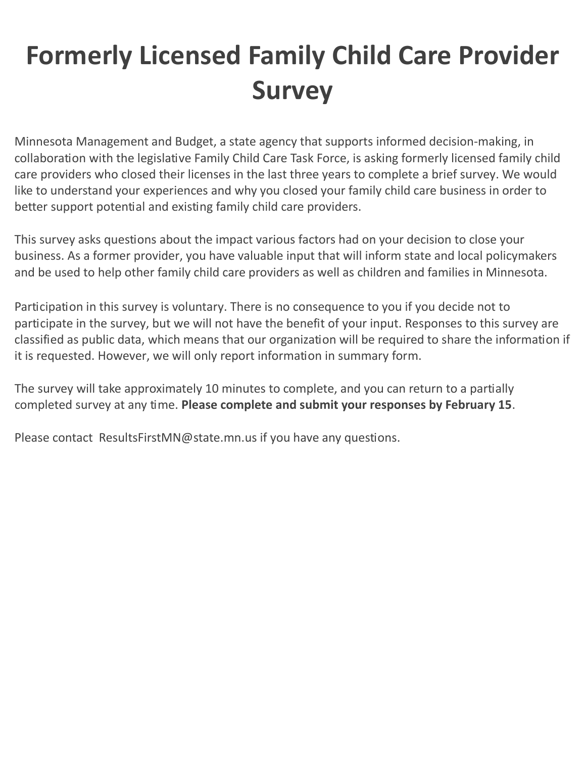## Formerly Licensed Family Child Care Provider Survey

 Minnesota Management and Budget, a state agency that supports informed decision-making, in collaboration with the legislative Family Child Care Task Force, is asking formerly licensed family child care providers who closed their licenses in the last three years to complete a brief survey. We would like to understand your experiences and why you closed your family child care business in order to better support potential and existing family child care providers.

 This survey asks questions about the impact various factors had on your decision to close your business. As a former provider, you have valuable input that will inform state and local policymakers and be used to help other family child care providers as well as children and families in Minnesota.

 Participation in this survey is voluntary. There is no consequence to you if you decide not to participate in the survey, but we will not have the benefit of your input. Responses to this survey are classified as public data, which means that our organization will be required to share the information if it is requested. However, we will only report information in summary form.

 The survey will take approximately 10 minutes to complete, and you can return to a partially completed survey at any time. Please complete and submit your responses by February 15.

Please contact [ResultsFirstMN@state.mn.us](mailto:ResultsFirstMN@state.mn.us) if you have any questions.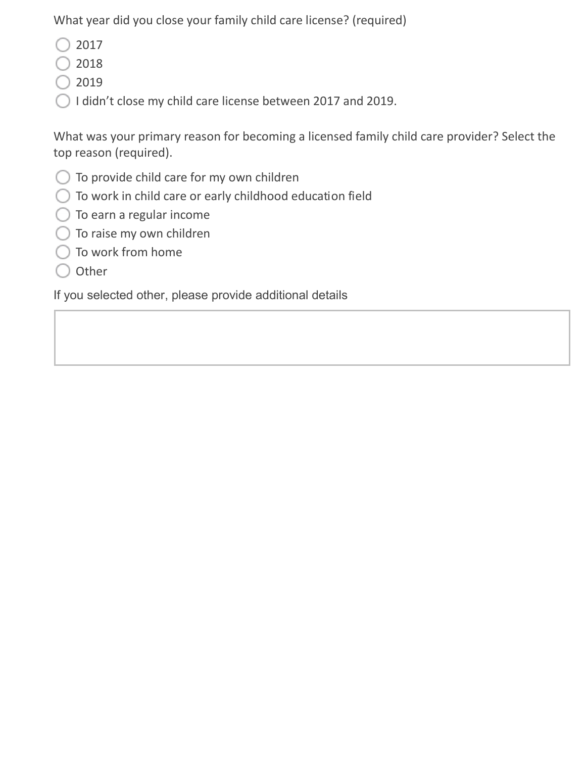What year did you close your family child care license? (required)

- $\bigcirc$  2017
- $\bigcirc$  2018
- $\bigcirc$  2019
- I didn't close my child care license between 2017 and 2019.

What was your primary reason for becoming a licensed family child care provider? Select the top reason (required).

- To provide child care for my own children
- To work in child care or early childhood education field
- To earn a regular income
- To raise my own children
- To work from home
- $\bigcirc$  Other

If you selected other, please provide additional details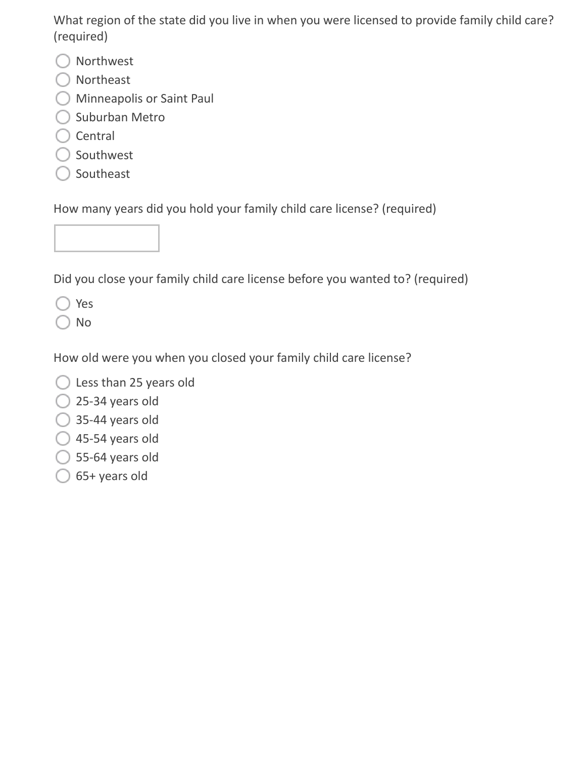What region of the state did you live in when you were licensed to provide family child care? (required)

- O Northwest
- O Northeast
- Minneapolis or Saint Paul
- $\bigcirc$  Suburban Metro
- $\bigcirc$  Central
- $\bigcirc$  Southwest
- $\bigcirc$  Southeast

How many years did you hold your family child care license? (required)

Did you close your family child care license before you wanted to? (required)

◯ Yes

 $\bigcirc$  No

How old were you when you closed your family child care license?

- $\bigcirc$  Less than 25 years old
- $\bigcirc$  25-34 years old
- $\bigcirc$  35-44 years old
- $\bigcirc$  45-54 years old
- $\bigcirc$  55-64 years old
- $\bigcirc$  65+ years old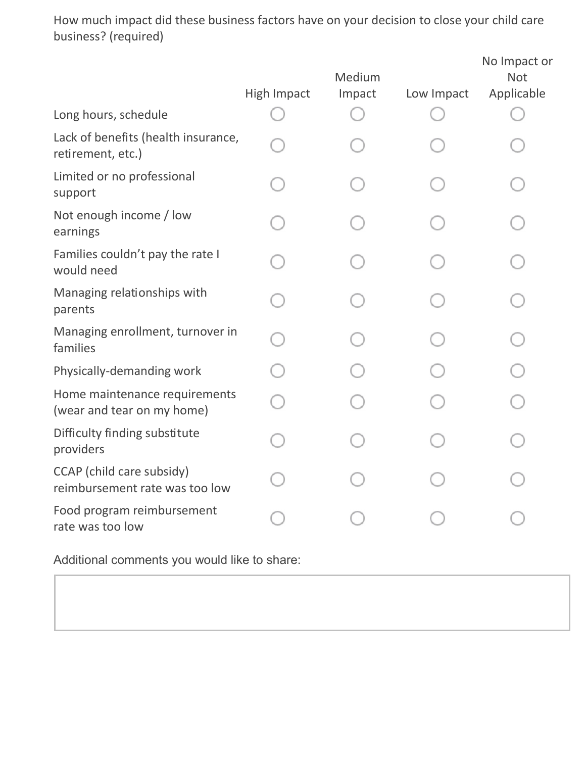How much impact did these business factors have on your decision to close your child care business? (required)

|                                                             | <b>High Impact</b> | Medium<br>Impact | Low Impact | No Impact or<br><b>Not</b><br>Applicable |
|-------------------------------------------------------------|--------------------|------------------|------------|------------------------------------------|
| Long hours, schedule                                        |                    |                  |            |                                          |
| Lack of benefits (health insurance,<br>retirement, etc.)    |                    |                  |            |                                          |
| Limited or no professional<br>support                       |                    |                  |            |                                          |
| Not enough income / low<br>earnings                         |                    |                  |            |                                          |
| Families couldn't pay the rate I<br>would need              |                    |                  |            |                                          |
| Managing relationships with<br>parents                      |                    |                  |            |                                          |
| Managing enrollment, turnover in<br>families                |                    |                  |            |                                          |
| Physically-demanding work                                   |                    |                  |            |                                          |
| Home maintenance requirements<br>(wear and tear on my home) |                    |                  |            |                                          |
| Difficulty finding substitute<br>providers                  |                    |                  |            |                                          |
| CCAP (child care subsidy)<br>reimbursement rate was too low |                    |                  |            |                                          |
| Food program reimbursement<br>rate was too low              |                    |                  |            |                                          |

Additional comments you would like to share: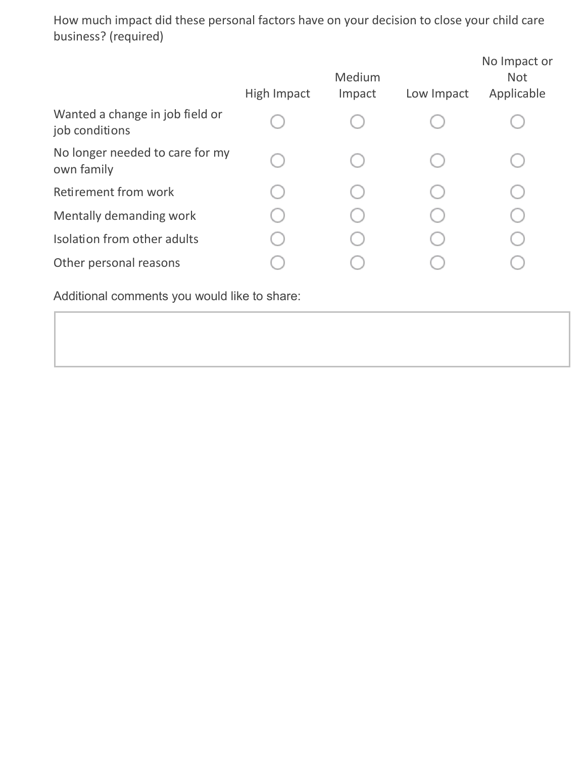How much impact did these personal factors have on your decision to close your child care business? (required)

|                                                   | High Impact | Medium<br>Impact | Low Impact | No Impact or<br><b>Not</b><br>Applicable |
|---------------------------------------------------|-------------|------------------|------------|------------------------------------------|
| Wanted a change in job field or<br>job conditions |             |                  |            |                                          |
| No longer needed to care for my<br>own family     |             |                  |            |                                          |
| Retirement from work                              |             |                  |            |                                          |
| Mentally demanding work                           |             |                  |            |                                          |
| Isolation from other adults                       |             |                  |            |                                          |
| Other personal reasons                            |             |                  |            |                                          |
|                                                   |             |                  |            |                                          |

Additional comments you would like to share: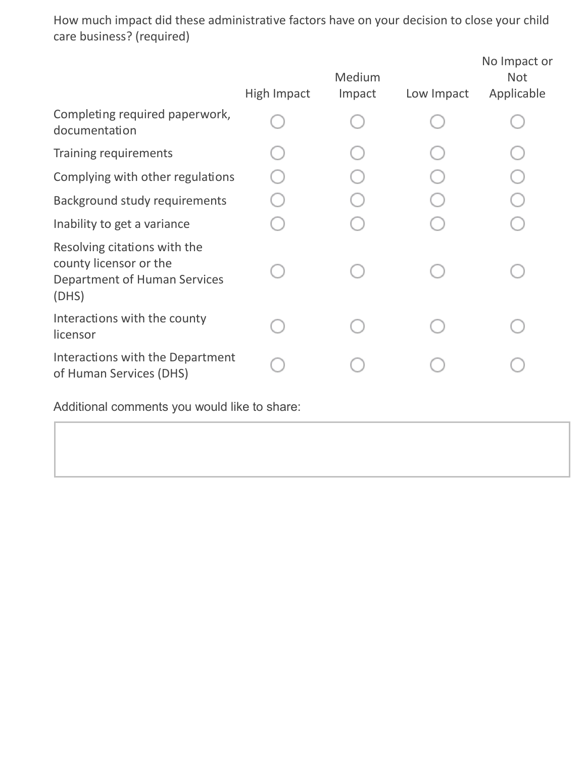How much impact did these administrative factors have on your decision to close your child care business? (required)

| High Impact | Medium<br>Impact | Low Impact | No Impact or<br><b>Not</b><br>Applicable |
|-------------|------------------|------------|------------------------------------------|
|             |                  |            |                                          |
|             |                  |            |                                          |
|             |                  |            |                                          |
|             |                  |            |                                          |
|             |                  |            |                                          |
|             |                  |            |                                          |
|             |                  |            |                                          |
|             |                  |            |                                          |
|             |                  |            |                                          |

Additional comments you would like to share: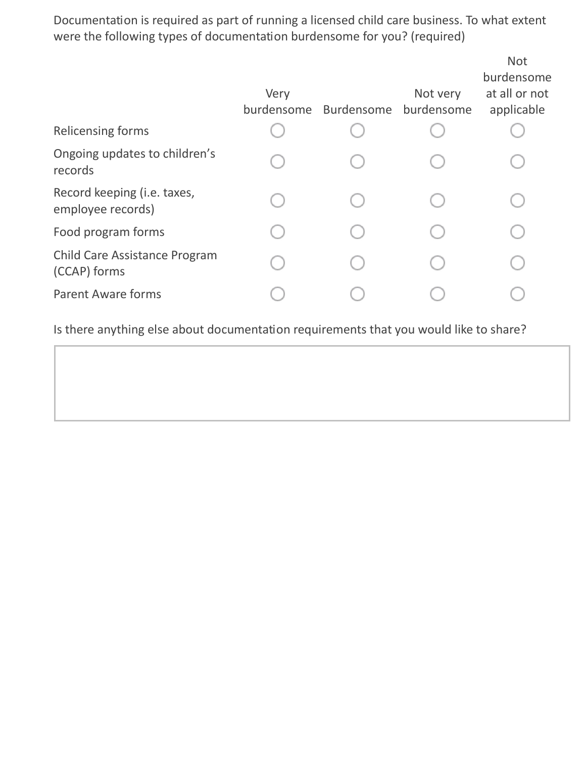Documentation is required as part of running a licensed child care business. To what extent were the following types of documentation burdensome for you? (required)

| Very<br>burdensome | Burdensome | Not very<br>burdensome | <b>Not</b><br>burdensome<br>at all or not<br>applicable |
|--------------------|------------|------------------------|---------------------------------------------------------|
|                    |            |                        |                                                         |
|                    |            |                        |                                                         |
|                    |            |                        |                                                         |
|                    |            |                        |                                                         |
|                    |            |                        |                                                         |
|                    |            |                        |                                                         |
|                    |            |                        |                                                         |

Is there anything else about documentation requirements that you would like to share?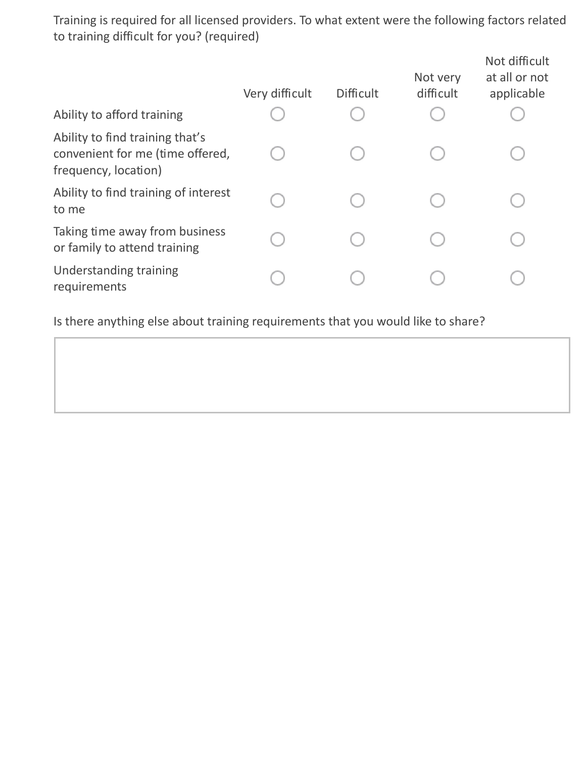Training is required for all licensed providers. To what extent were the following factors related to training difficult for you? (required)

|                                                                                             | Very difficult | <b>Difficult</b> | Not very<br>difficult | Not difficult<br>at all or not<br>applicable |
|---------------------------------------------------------------------------------------------|----------------|------------------|-----------------------|----------------------------------------------|
| Ability to afford training                                                                  |                |                  |                       |                                              |
| Ability to find training that's<br>convenient for me (time offered,<br>frequency, location) |                |                  |                       |                                              |
| Ability to find training of interest<br>to me                                               |                |                  |                       |                                              |
| Taking time away from business<br>or family to attend training                              |                |                  |                       |                                              |
| Understanding training<br>requirements                                                      |                |                  |                       |                                              |

Is there anything else about training requirements that you would like to share?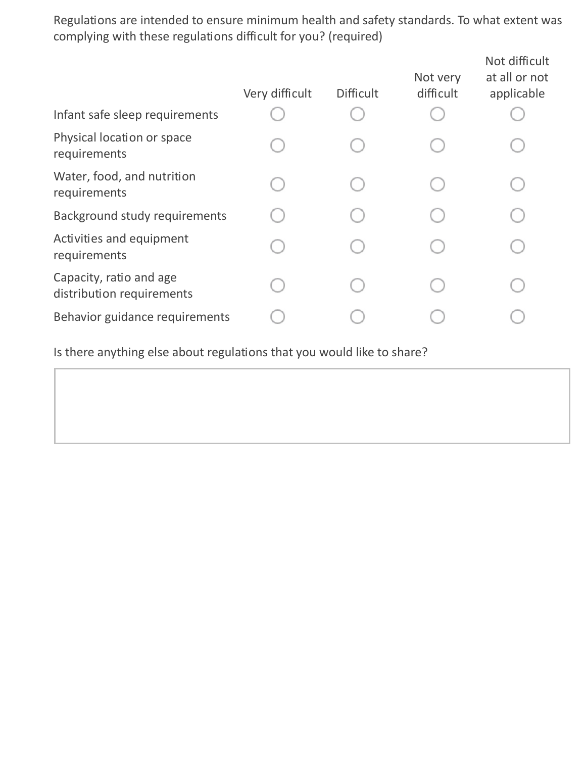Regulations are intended to ensure minimum health and safety standards. To what extent was complying with these regulations difficult for you? (required)

| Infant safe sleep requirements                       | Very difficult | <b>Difficult</b> | Not very<br>difficult | Not difficult<br>at all or not<br>applicable |
|------------------------------------------------------|----------------|------------------|-----------------------|----------------------------------------------|
| Physical location or space<br>requirements           |                |                  |                       |                                              |
| Water, food, and nutrition<br>requirements           |                |                  |                       |                                              |
| Background study requirements                        |                |                  |                       |                                              |
| Activities and equipment<br>requirements             |                |                  |                       |                                              |
| Capacity, ratio and age<br>distribution requirements |                |                  |                       |                                              |
| Behavior guidance requirements                       |                |                  |                       |                                              |
|                                                      |                |                  |                       |                                              |

Is there anything else about regulations that you would like to share?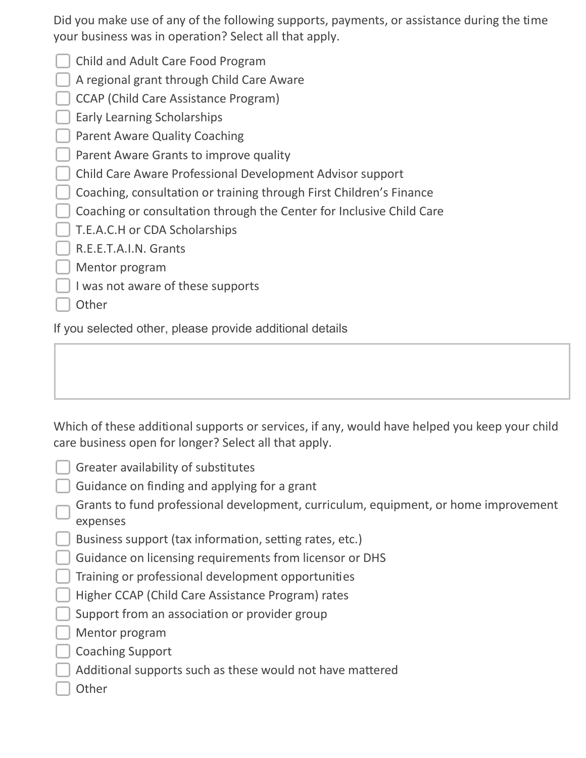Did you make use of any of the following supports, payments, or assistance during the time your business was in operation? Select all that apply.

- Child and Adult Care Food Program
- A regional grant through Child Care Aware
- CCAP (Child Care Assistance Program)
- **Early Learning Scholarships**
- Parent Aware Quality Coaching
- **Parent Aware Grants to improve quality**
- Child Care Aware Professional Development Advisor support
- Coaching, consultation or training through First Children's Finance
- Coaching or consultation through the Center for Inclusive Child Care
- T.E.A.C.H or CDA Scholarships
- R.E.E.T.A.I.N. Grants
- Mentor program
- $\Box$  I was not aware of these supports
- Other

If you selected other, please provide additional details

 Which of these additional supports or services, if any, would have helped you keep your child care business open for longer? Select all that apply.

- Greater availability of substitutes
- Guidance on finding and applying for a grant
- Grants to fund professional development, curriculum, equipment, or home improvement expenses
- Business support (tax information, setting rates, etc.)
- Guidance on licensing requirements from licensor or DHS
- Training or professional development opportunities
- Higher CCAP (Child Care Assistance Program) rates
- $\Box$  Support from an association or provider group
- **Mentor program**
- Coaching Support
- Additional supports such as these would not have mattered
- **Other**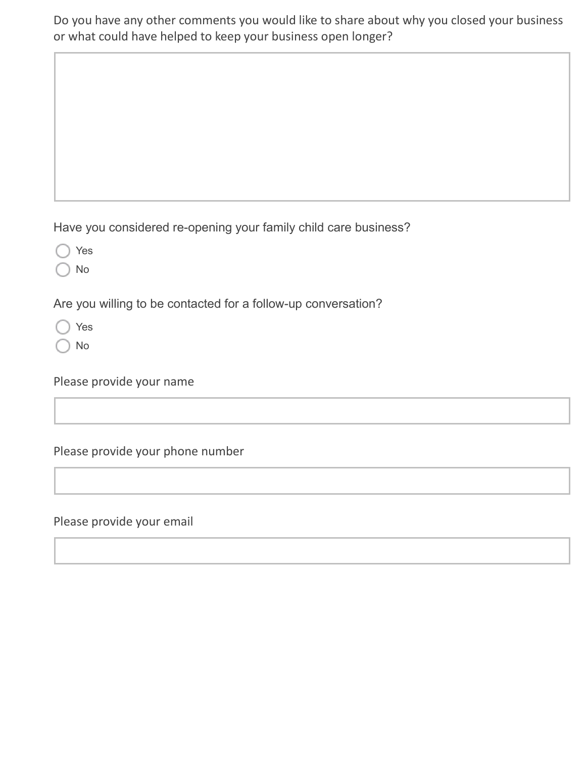Do you have any other comments you would like to share about why you closed your business or what could have helped to keep your business open longer?

Have you considered re-opening your family child care business?

Yes

No

Are you willing to be contacted for a follow-up conversation?

Yes

No

Please provide your name

Please provide your phone number

Please provide your email